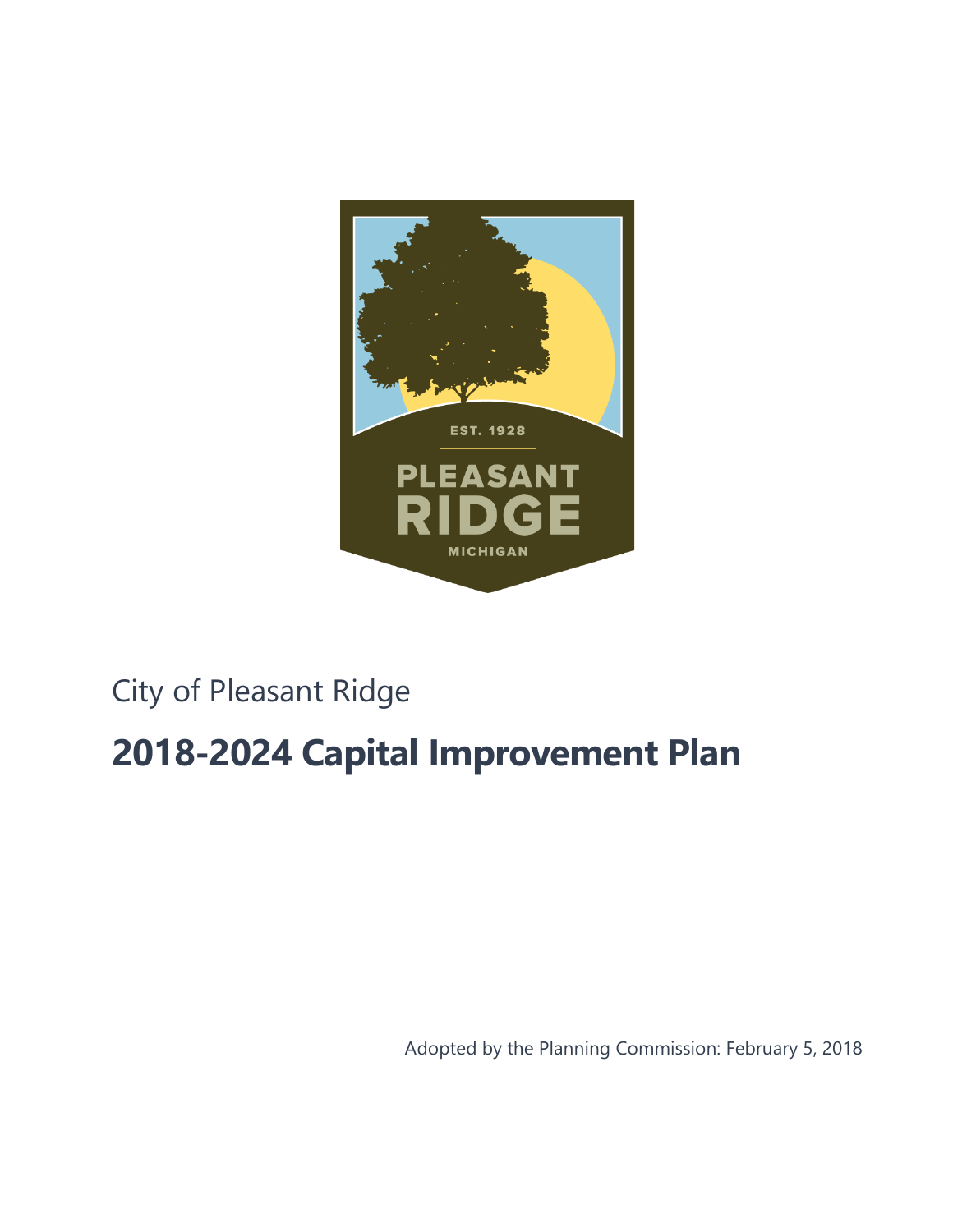

# City of Pleasant Ridge

# **2018-2024 Capital Improvement Plan**

<span id="page-0-0"></span>Adopted by the Planning Commission: February 5, 2018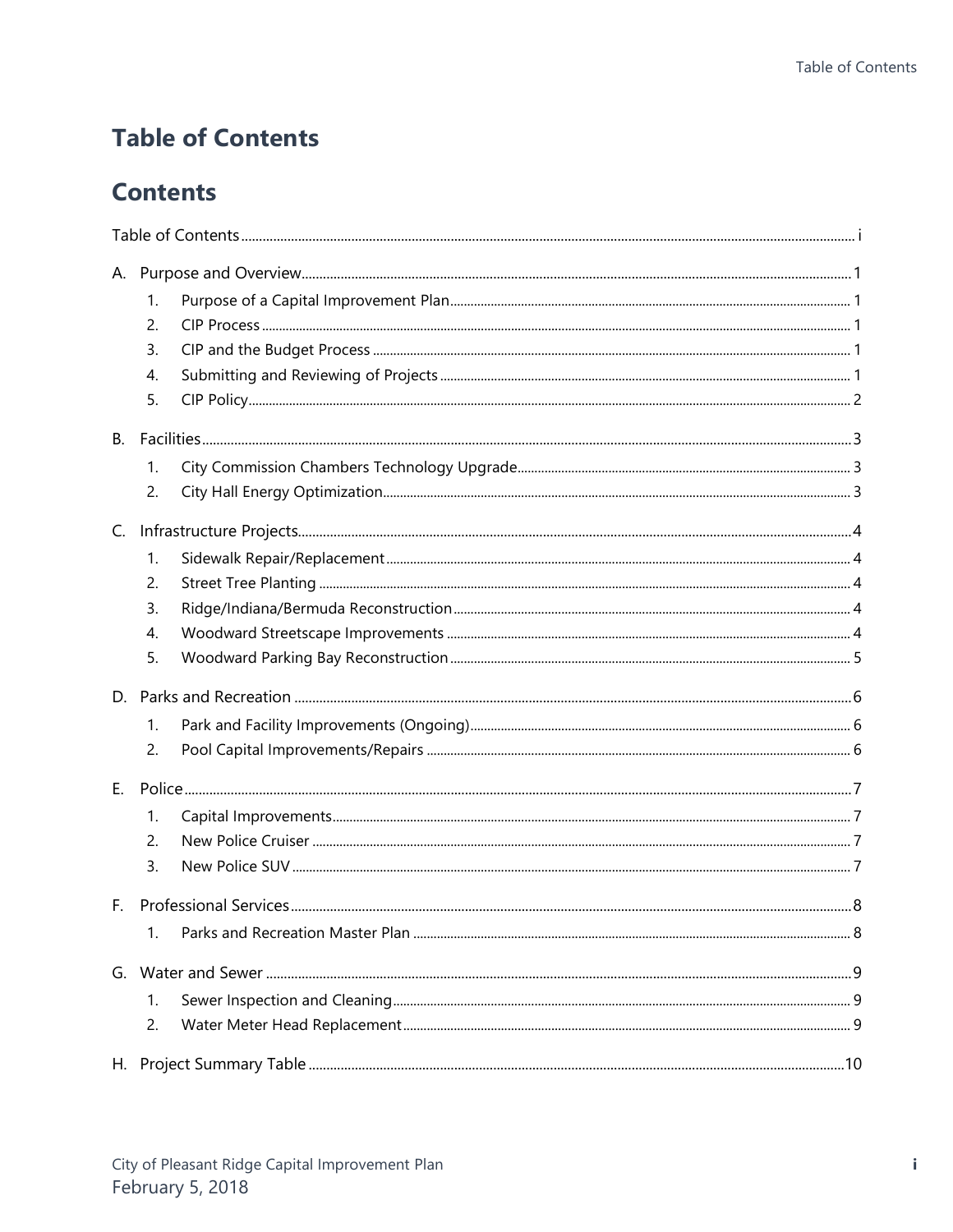# <span id="page-2-0"></span>**Table of Contents**

# **Contents**

|                | 1.<br>2.       |  |
|----------------|----------------|--|
|                | 3.<br>4.<br>5. |  |
| <b>B.</b>      |                |  |
|                | 1.<br>2.       |  |
| $\mathsf{C}$ . |                |  |
|                | 1.             |  |
|                | 2.             |  |
|                | 3.             |  |
|                | 4.             |  |
|                | 5.             |  |
|                |                |  |
|                | 1.             |  |
|                | 2.             |  |
| $E_{\rm{r}}$   |                |  |
|                | 1.             |  |
|                | 2.             |  |
|                | 3.             |  |
| $F_{\rm{H}}$   |                |  |
|                | 1.             |  |
|                |                |  |
|                | 1.             |  |
|                | 2.             |  |
|                |                |  |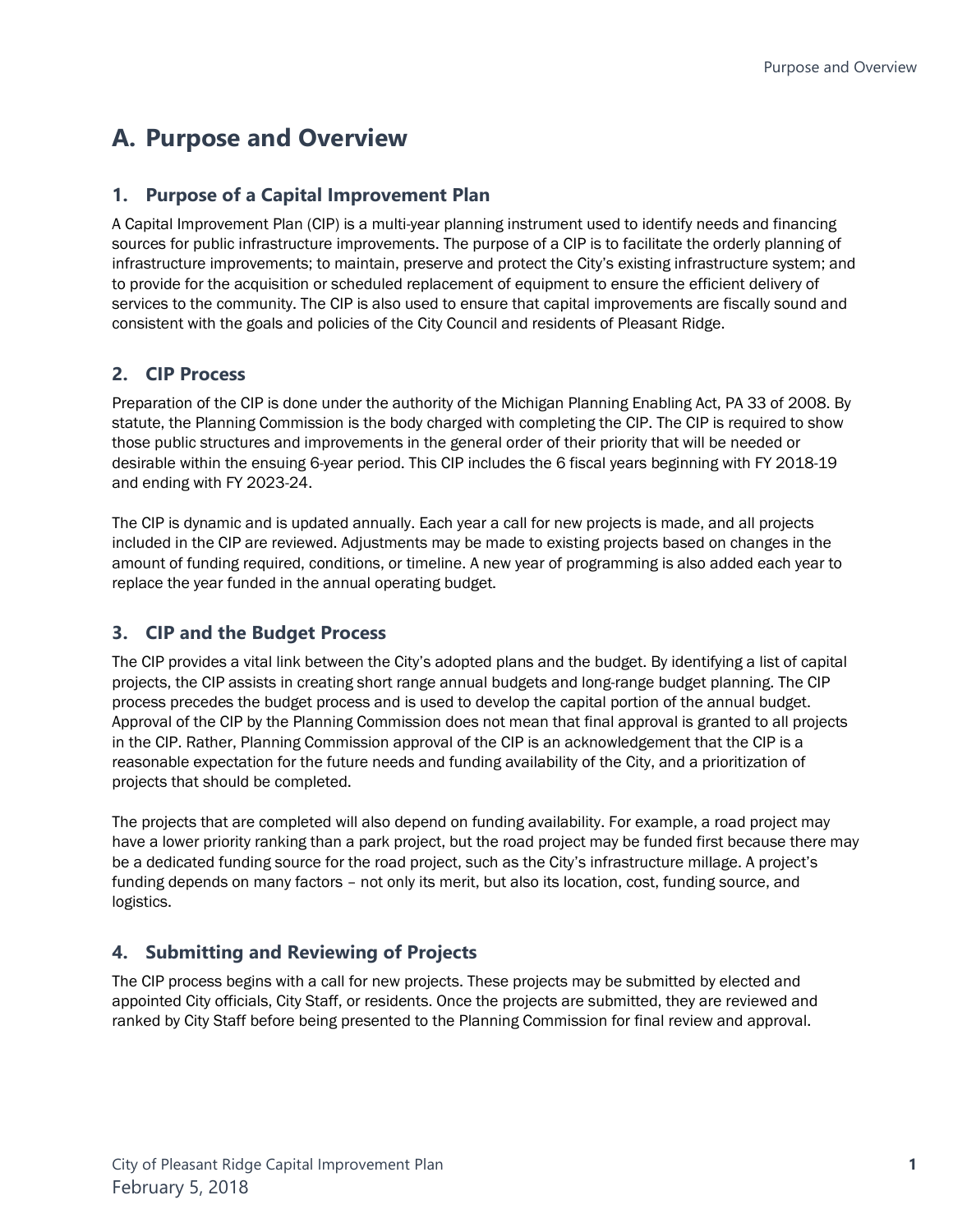# <span id="page-4-0"></span>**A. Purpose and Overview**

### <span id="page-4-1"></span>**1. Purpose of a Capital Improvement Plan**

A Capital Improvement Plan (CIP) is a multi-year planning instrument used to identify needs and financing sources for public infrastructure improvements. The purpose of a CIP is to facilitate the orderly planning of infrastructure improvements; to maintain, preserve and protect the City's existing infrastructure system; and to provide for the acquisition or scheduled replacement of equipment to ensure the efficient delivery of services to the community. The CIP is also used to ensure that capital improvements are fiscally sound and consistent with the goals and policies of the City Council and residents of Pleasant Ridge.

### <span id="page-4-2"></span>**2. CIP Process**

Preparation of the CIP is done under the authority of the Michigan Planning Enabling Act, PA 33 of 2008. By statute, the Planning Commission is the body charged with completing the CIP. The CIP is required to show those public structures and improvements in the general order of their priority that will be needed or desirable within the ensuing 6-year period. This CIP includes the 6 fiscal years beginning with FY 2018-19 and ending with FY 2023-24.

The CIP is dynamic and is updated annually. Each year a call for new projects is made, and all projects included in the CIP are reviewed. Adjustments may be made to existing projects based on changes in the amount of funding required, conditions, or timeline. A new year of programming is also added each year to replace the year funded in the annual operating budget.

### <span id="page-4-3"></span>**3. CIP and the Budget Process**

The CIP provides a vital link between the City's adopted plans and the budget. By identifying a list of capital projects, the CIP assists in creating short range annual budgets and long-range budget planning. The CIP process precedes the budget process and is used to develop the capital portion of the annual budget. Approval of the CIP by the Planning Commission does not mean that final approval is granted to all projects in the CIP. Rather, Planning Commission approval of the CIP is an acknowledgement that the CIP is a reasonable expectation for the future needs and funding availability of the City, and a prioritization of projects that should be completed.

The projects that are completed will also depend on funding availability. For example, a road project may have a lower priority ranking than a park project, but the road project may be funded first because there may be a dedicated funding source for the road project, such as the City's infrastructure millage. A project's funding depends on many factors – not only its merit, but also its location, cost, funding source, and logistics.

### <span id="page-4-4"></span>**4. Submitting and Reviewing of Projects**

The CIP process begins with a call for new projects. These projects may be submitted by elected and appointed City officials, City Staff, or residents. Once the projects are submitted, they are reviewed and ranked by City Staff before being presented to the Planning Commission for final review and approval.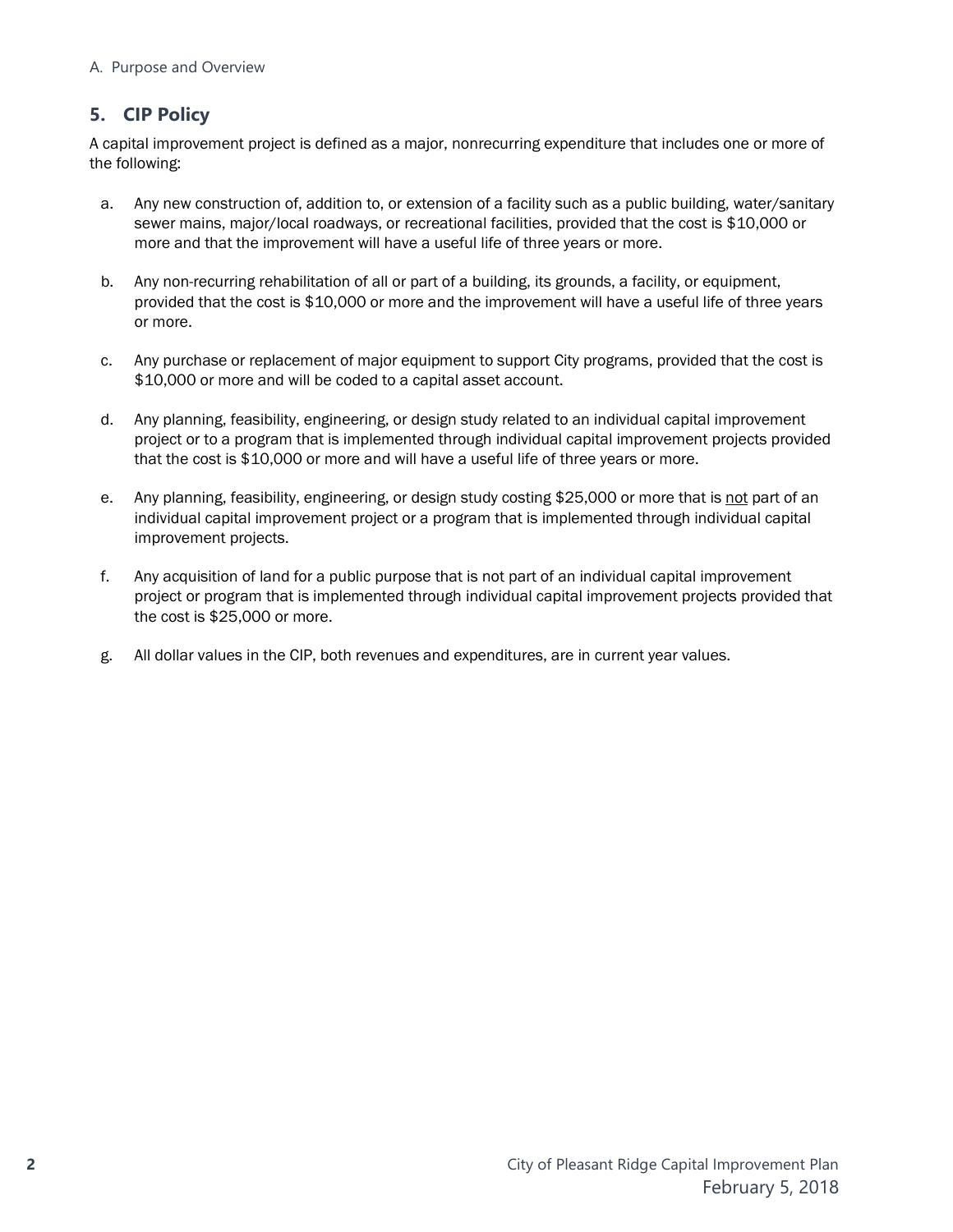### <span id="page-5-0"></span>**5. CIP Policy**

A capital improvement project is defined as a major, nonrecurring expenditure that includes one or more of the following:

- a. Any new construction of, addition to, or extension of a facility such as a public building, water/sanitary sewer mains, major/local roadways, or recreational facilities, provided that the cost is \$10,000 or more and that the improvement will have a useful life of three years or more.
- b. Any non-recurring rehabilitation of all or part of a building, its grounds, a facility, or equipment, provided that the cost is \$10,000 or more and the improvement will have a useful life of three years or more.
- c. Any purchase or replacement of major equipment to support City programs, provided that the cost is \$10,000 or more and will be coded to a capital asset account.
- d. Any planning, feasibility, engineering, or design study related to an individual capital improvement project or to a program that is implemented through individual capital improvement projects provided that the cost is \$10,000 or more and will have a useful life of three years or more.
- e. Any planning, feasibility, engineering, or design study costing \$25,000 or more that is not part of an individual capital improvement project or a program that is implemented through individual capital improvement projects.
- f. Any acquisition of land for a public purpose that is not part of an individual capital improvement project or program that is implemented through individual capital improvement projects provided that the cost is \$25,000 or more.
- g. All dollar values in the CIP, both revenues and expenditures, are in current year values.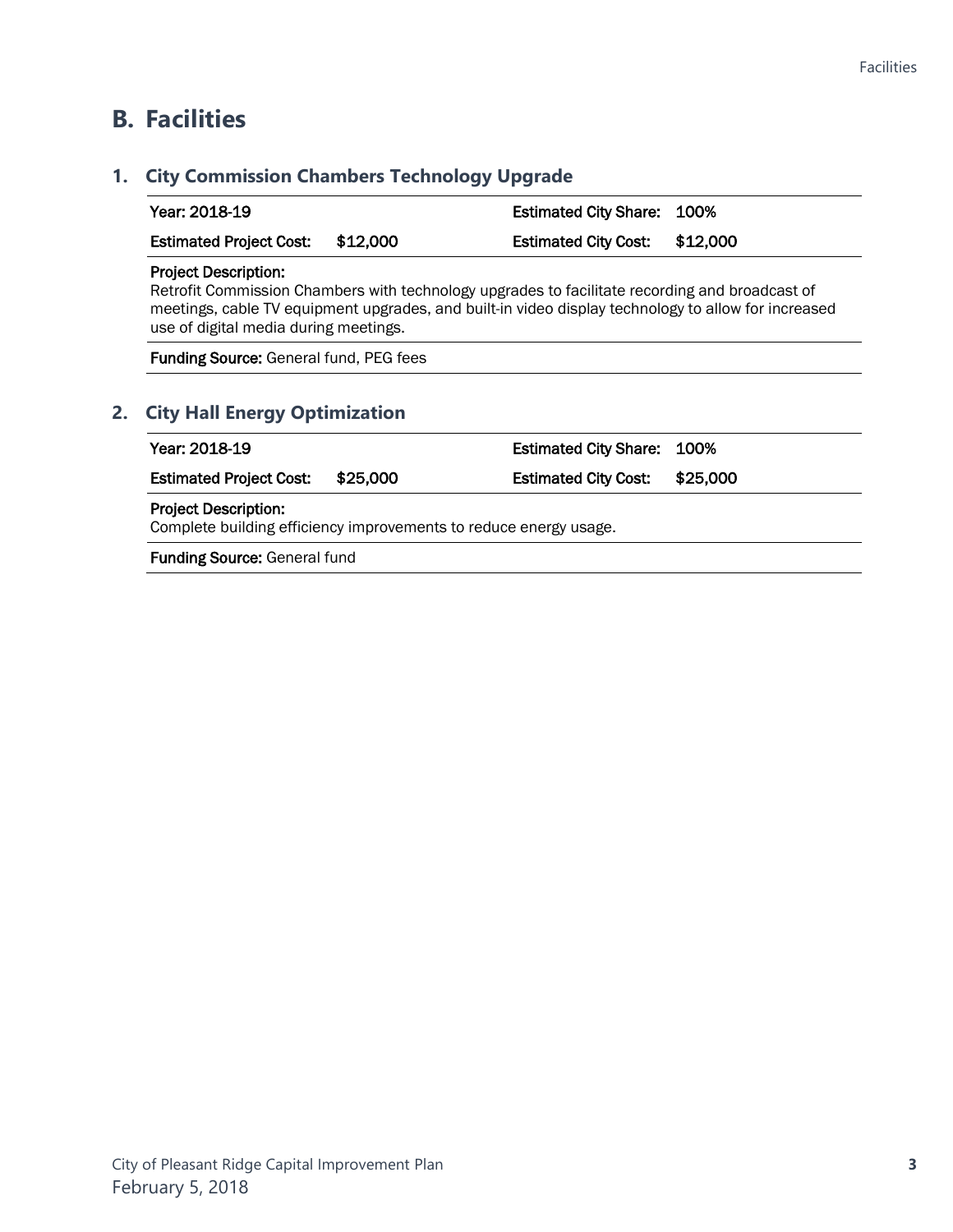### <span id="page-6-0"></span>**B. Facilities**

# <span id="page-6-1"></span>**1. City Commission Chambers Technology Upgrade** Year: 2018-19 **Estimated City Share: 100%** Estimated Project Cost: \$12,000 Estimated City Cost: \$12,000 Project Description: Retrofit Commission Chambers with technology upgrades to facilitate recording and broadcast of meetings, cable TV equipment upgrades, and built-in video display technology to allow for increased use of digital media during meetings. Funding Source: General fund, PEG fees **2. City Hall Energy Optimization** Year: 2018-19 Estimated City Share: 100% Estimated Project Cost: \$25,000 Estimated City Cost: \$25,000 Project Description: Complete building efficiency improvements to reduce energy usage.

<span id="page-6-2"></span>Funding Source: General fund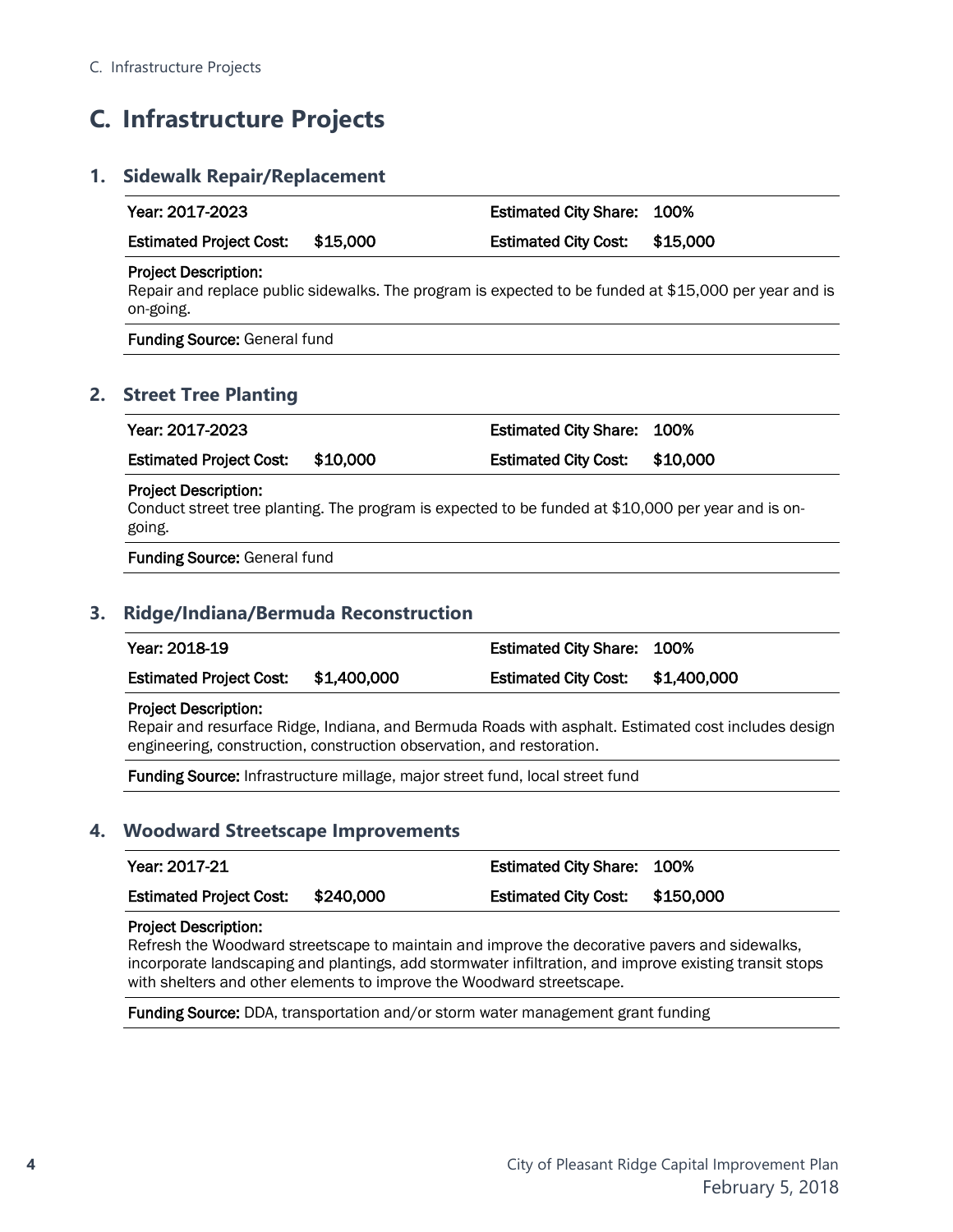# <span id="page-7-0"></span>**C. Infrastructure Projects**

#### <span id="page-7-1"></span>**1. Sidewalk Repair/Replacement**

<span id="page-7-2"></span>

| Year: 2017-2023                             |          | <b>Estimated City Share:</b> | 100%                                                                                                  |
|---------------------------------------------|----------|------------------------------|-------------------------------------------------------------------------------------------------------|
| <b>Estimated Project Cost:</b>              | \$15,000 | <b>Estimated City Cost:</b>  | \$15,000                                                                                              |
| <b>Project Description:</b><br>on-going.    |          |                              | Repair and replace public sidewalks. The program is expected to be funded at \$15,000 per year and is |
| <b>Funding Source: General fund</b>         |          |                              |                                                                                                       |
| <b>Street Tree Planting</b>                 |          |                              |                                                                                                       |
| Year: 2017-2023                             |          | <b>Estimated City Share:</b> | 100%                                                                                                  |
| <b>Estimated Project Cost:</b>              | \$10,000 | <b>Estimated City Cost:</b>  | \$10,000                                                                                              |
| <b>Project Description:</b>                 |          |                              | Conduct street tree planting. The program is expected to be funded at \$10,000 per year and is on-    |
| going.                                      |          |                              |                                                                                                       |
| <b>Funding Source: General fund</b>         |          |                              |                                                                                                       |
| <b>Ridge/Indiana/Bermuda Reconstruction</b> |          |                              |                                                                                                       |
| Year: 2018-19                               |          | <b>Estimated City Share:</b> | 100%                                                                                                  |

<span id="page-7-3"></span>Funding Source: Infrastructure millage, major street fund, local street fund

#### <span id="page-7-4"></span>**4. Woodward Streetscape Improvements**

| Year: 2017-21                  |           | <b>Estimated City Share: 100%</b> |           |
|--------------------------------|-----------|-----------------------------------|-----------|
| <b>Estimated Project Cost:</b> | \$240,000 | <b>Estimated City Cost:</b>       | \$150,000 |

#### Project Description:

Refresh the Woodward streetscape to maintain and improve the decorative pavers and sidewalks, incorporate landscaping and plantings, add stormwater infiltration, and improve existing transit stops with shelters and other elements to improve the Woodward streetscape.

Funding Source: DDA, transportation and/or storm water management grant funding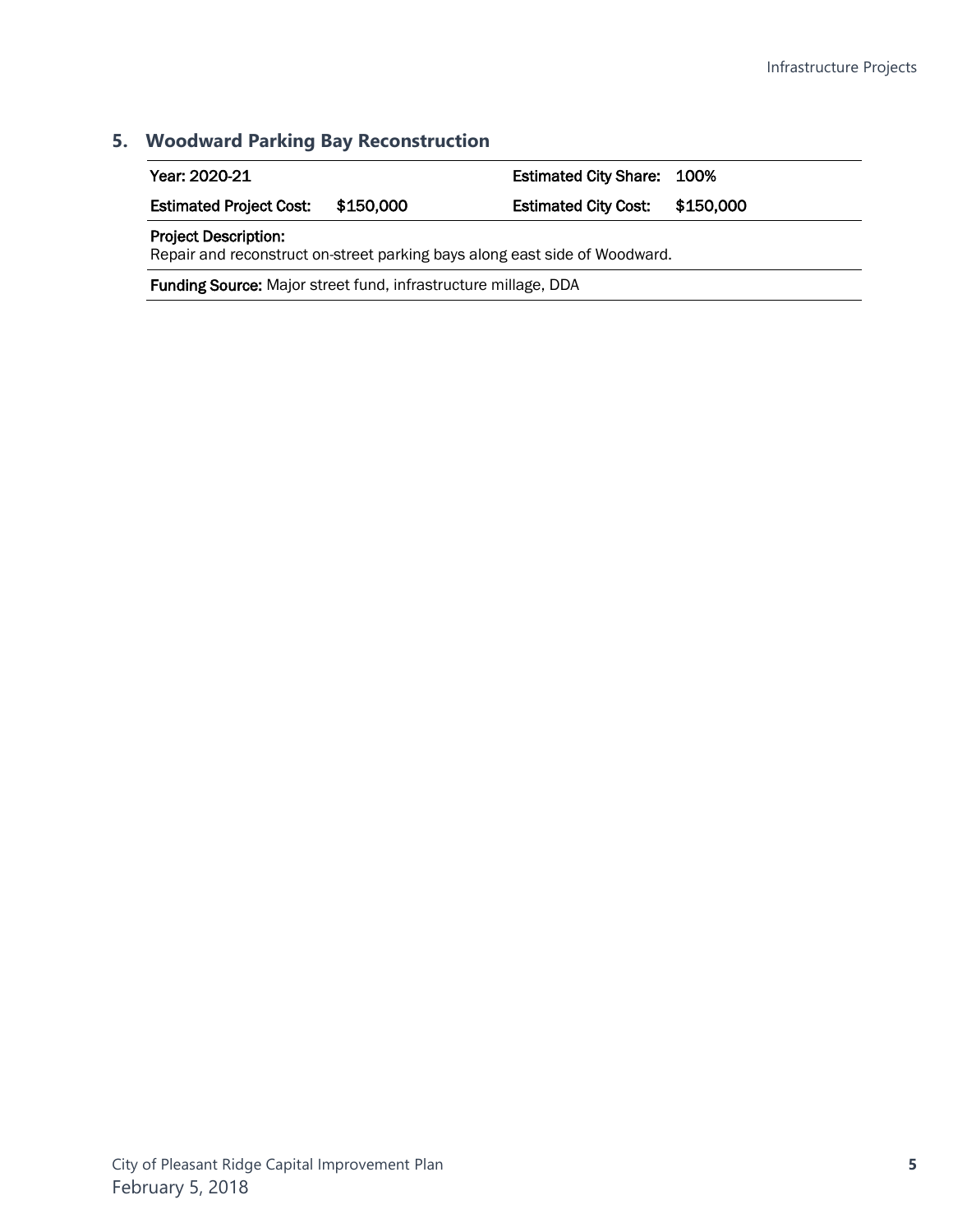### <span id="page-8-0"></span>**5. Woodward Parking Bay Reconstruction**

| Year: 2020-21                               |  | <b>Estimated City Share: 100%</b> |  |
|---------------------------------------------|--|-----------------------------------|--|
| <b>Estimated Project Cost:</b><br>\$150,000 |  | Estimated City Cost: \$150,000    |  |
| <b>Project Description:</b>                 |  |                                   |  |

Repair and reconstruct on-street parking bays along east side of Woodward.

Funding Source: Major street fund, infrastructure millage, DDA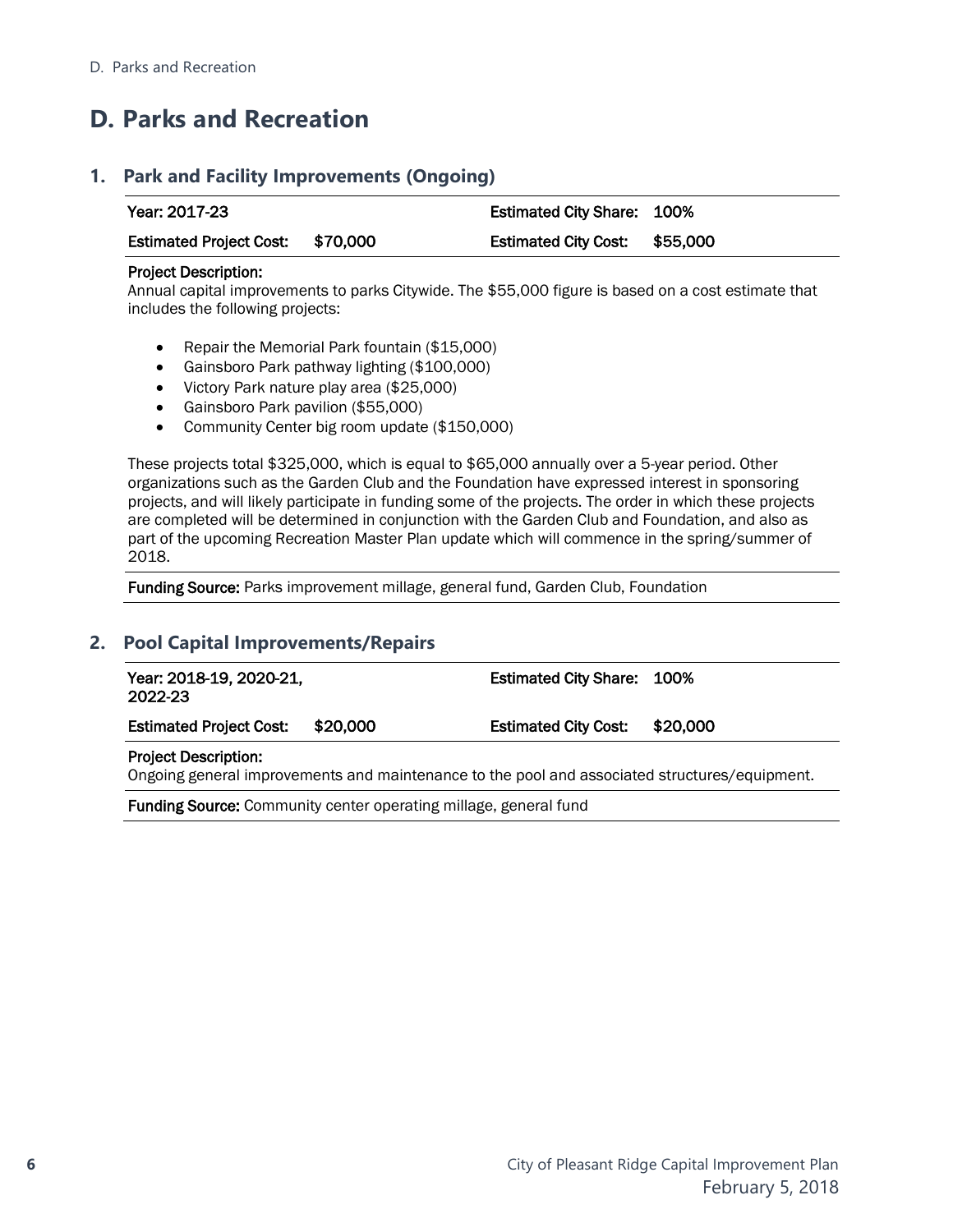# <span id="page-9-0"></span>**D. Parks and Recreation**

#### <span id="page-9-1"></span>**1. Park and Facility Improvements (Ongoing)**

| Year: 2017-23                    |  | <b>Estimated City Share: 100%</b> |  |
|----------------------------------|--|-----------------------------------|--|
| Estimated Project Cost: \$70,000 |  | Estimated City Cost: \$55,000     |  |

#### Project Description:

Annual capital improvements to parks Citywide. The \$55,000 figure is based on a cost estimate that includes the following projects:

- Repair the Memorial Park fountain (\$15,000)
- Gainsboro Park pathway lighting (\$100,000)
- Victory Park nature play area (\$25,000)
- Gainsboro Park pavilion (\$55,000)
- Community Center big room update (\$150,000)

These projects total \$325,000, which is equal to \$65,000 annually over a 5-year period. Other organizations such as the Garden Club and the Foundation have expressed interest in sponsoring projects, and will likely participate in funding some of the projects. The order in which these projects are completed will be determined in conjunction with the Garden Club and Foundation, and also as part of the upcoming Recreation Master Plan update which will commence in the spring/summer of 2018.

Funding Source: Parks improvement millage, general fund, Garden Club, Foundation

### <span id="page-9-2"></span>**2. Pool Capital Improvements/Repairs**

| Year: 2018-19, 2020-21,<br>2022-23 |          | <b>Estimated City Share: 100%</b>                                                             |  |
|------------------------------------|----------|-----------------------------------------------------------------------------------------------|--|
| <b>Estimated Project Cost:</b>     | \$20.000 | Estimated City Cost: \$20,000                                                                 |  |
| <b>Project Description:</b>        |          | Ongoing general improvements and maintenance to the nool and associated structures (equipment |  |

Ongoing general improvements and maintenance to the pool and associated structures/equipment.

Funding Source: Community center operating millage, general fund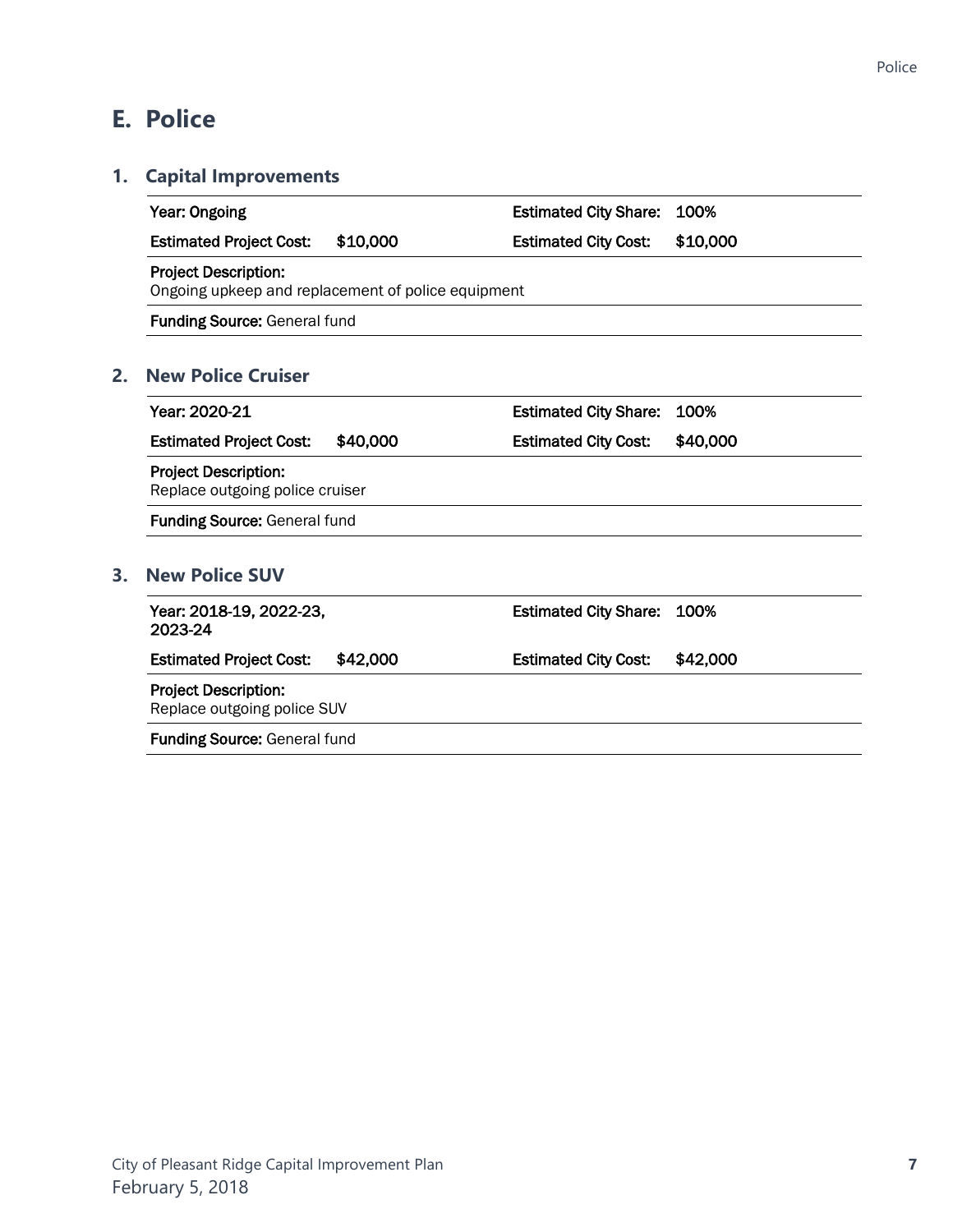# <span id="page-10-0"></span>**E. Police**

### <span id="page-10-1"></span>**1. Capital Improvements**

<span id="page-10-3"></span><span id="page-10-2"></span>

| Year: Ongoing                                                                     |          | <b>Estimated City Share:</b> | 100%     |  |  |  |
|-----------------------------------------------------------------------------------|----------|------------------------------|----------|--|--|--|
| <b>Estimated Project Cost:</b>                                                    | \$10,000 | <b>Estimated City Cost:</b>  | \$10,000 |  |  |  |
| <b>Project Description:</b><br>Ongoing upkeep and replacement of police equipment |          |                              |          |  |  |  |
| Funding Source: General fund                                                      |          |                              |          |  |  |  |
| <b>New Police Cruiser</b>                                                         |          |                              |          |  |  |  |
| Year: 2020-21                                                                     |          | <b>Estimated City Share:</b> | 100%     |  |  |  |
| <b>Estimated Project Cost:</b>                                                    | \$40,000 | <b>Estimated City Cost:</b>  | \$40,000 |  |  |  |
| <b>Project Description:</b><br>Replace outgoing police cruiser                    |          |                              |          |  |  |  |
| <b>Funding Source: General fund</b>                                               |          |                              |          |  |  |  |
| <b>New Police SUV</b>                                                             |          |                              |          |  |  |  |
| Year: 2018-19, 2022-23,<br>2023-24                                                |          | <b>Estimated City Share:</b> | 100%     |  |  |  |
| <b>Estimated Project Cost:</b>                                                    | \$42,000 | <b>Estimated City Cost:</b>  | \$42,000 |  |  |  |
| <b>Project Description:</b><br>Replace outgoing police SUV                        |          |                              |          |  |  |  |
| <b>Funding Source: General fund</b>                                               |          |                              |          |  |  |  |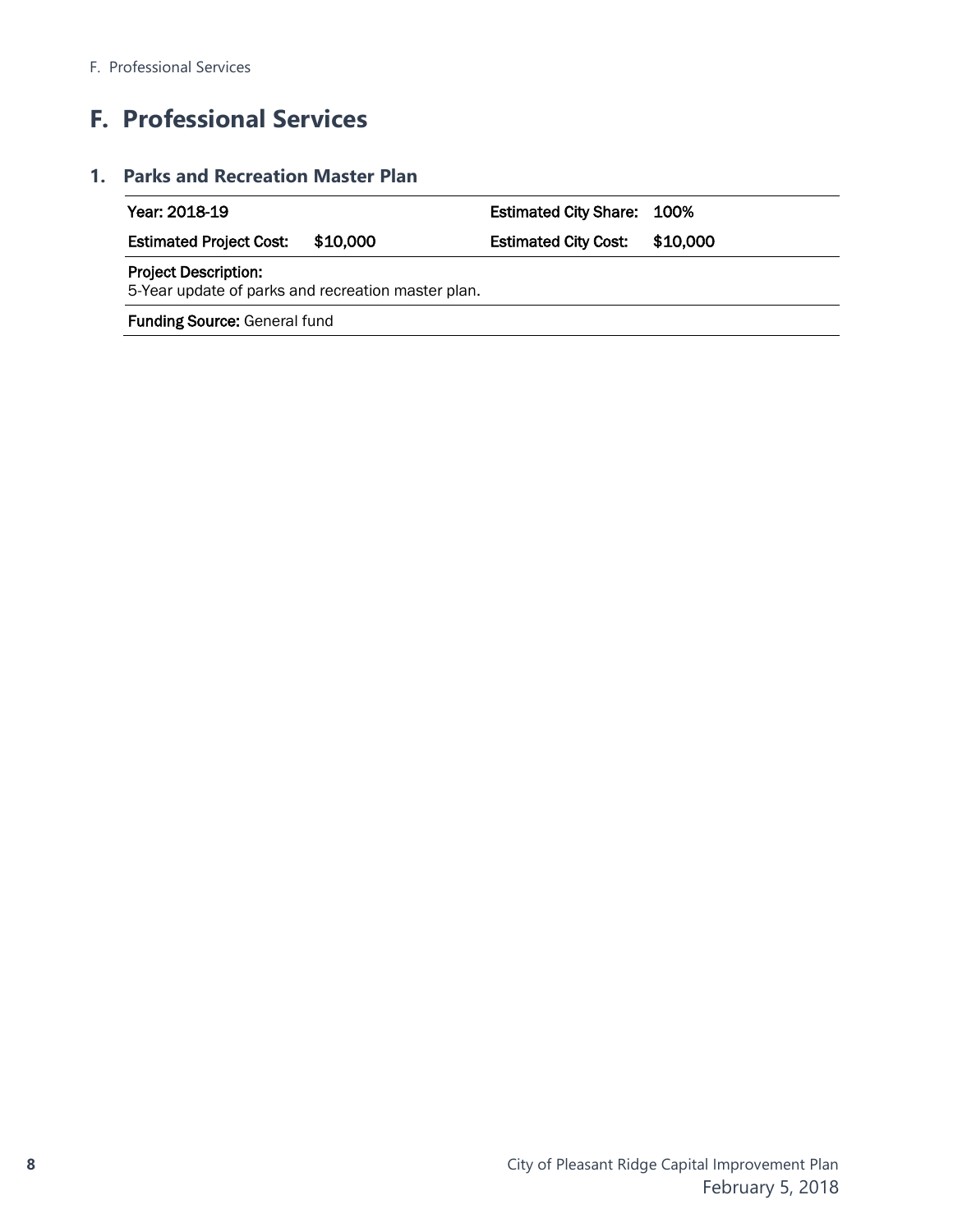# <span id="page-11-0"></span>**F. Professional Services**

### <span id="page-11-1"></span>**1. Parks and Recreation Master Plan**

| Year: 2018-19                                                                     |          | <b>Estimated City Share: 100%</b> |          |  |  |
|-----------------------------------------------------------------------------------|----------|-----------------------------------|----------|--|--|
| <b>Estimated Project Cost:</b>                                                    | \$10,000 | <b>Estimated City Cost:</b>       | \$10,000 |  |  |
| <b>Project Description:</b><br>5-Year update of parks and recreation master plan. |          |                                   |          |  |  |
| <b>Funding Source: General fund</b>                                               |          |                                   |          |  |  |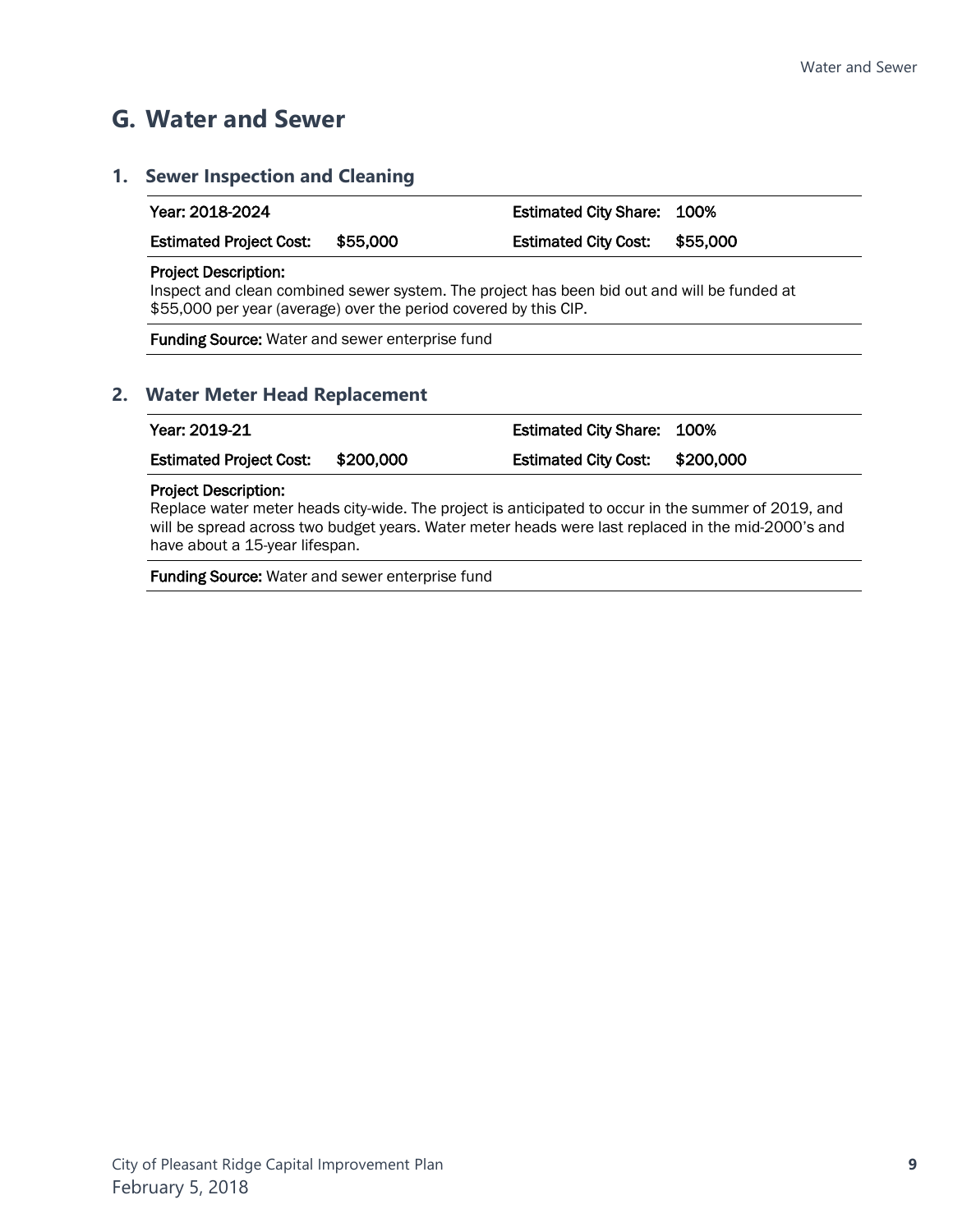### <span id="page-12-0"></span>**G. Water and Sewer**

# <span id="page-12-1"></span>**1. Sewer Inspection and Cleaning** Year: 2018-2024 Estimated City Share: 100% Estimated Project Cost: \$55,000 Estimated City Cost: \$55,000 Project Description: Inspect and clean combined sewer system. The project has been bid out and will be funded at \$55,000 per year (average) over the period covered by this CIP. Funding Source: Water and sewer enterprise fund **2. Water Meter Head Replacement**

<span id="page-12-2"></span>

| Year: 2019-21                     | <b>Estimated City Share: 100%</b> |  |  |
|-----------------------------------|-----------------------------------|--|--|
| Estimated Project Cost: \$200,000 | Estimated City Cost: \$200,000    |  |  |

#### Project Description:

Replace water meter heads city-wide. The project is anticipated to occur in the summer of 2019, and will be spread across two budget years. Water meter heads were last replaced in the mid-2000's and have about a 15-year lifespan.

Funding Source: Water and sewer enterprise fund